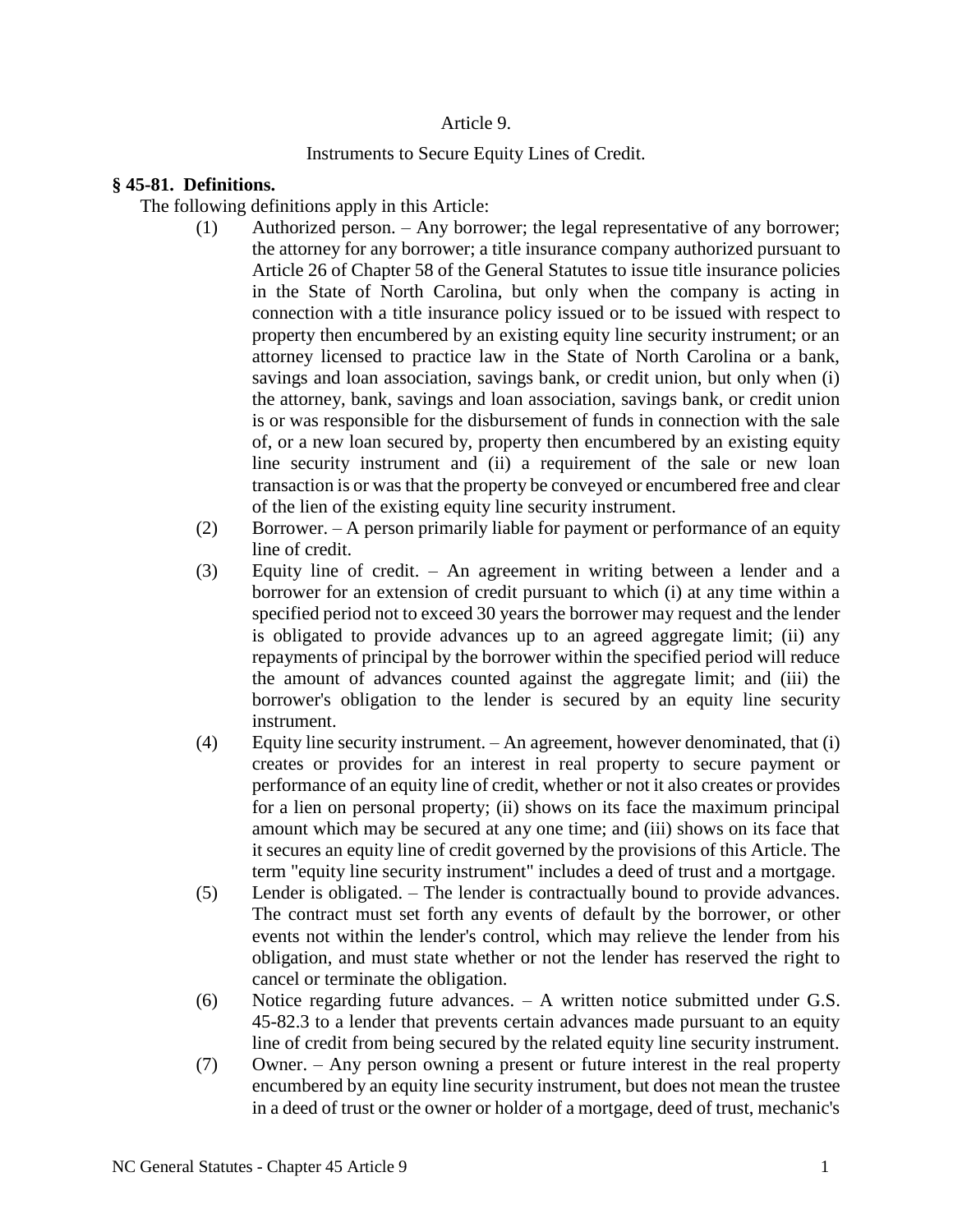# Article 9.

# Instruments to Secure Equity Lines of Credit.

# **§ 45-81. Definitions.**

The following definitions apply in this Article:

- (1) Authorized person. Any borrower; the legal representative of any borrower; the attorney for any borrower; a title insurance company authorized pursuant to Article 26 of Chapter 58 of the General Statutes to issue title insurance policies in the State of North Carolina, but only when the company is acting in connection with a title insurance policy issued or to be issued with respect to property then encumbered by an existing equity line security instrument; or an attorney licensed to practice law in the State of North Carolina or a bank, savings and loan association, savings bank, or credit union, but only when (i) the attorney, bank, savings and loan association, savings bank, or credit union is or was responsible for the disbursement of funds in connection with the sale of, or a new loan secured by, property then encumbered by an existing equity line security instrument and (ii) a requirement of the sale or new loan transaction is or was that the property be conveyed or encumbered free and clear of the lien of the existing equity line security instrument.
- (2) Borrower. A person primarily liable for payment or performance of an equity line of credit.
- (3) Equity line of credit. An agreement in writing between a lender and a borrower for an extension of credit pursuant to which (i) at any time within a specified period not to exceed 30 years the borrower may request and the lender is obligated to provide advances up to an agreed aggregate limit; (ii) any repayments of principal by the borrower within the specified period will reduce the amount of advances counted against the aggregate limit; and (iii) the borrower's obligation to the lender is secured by an equity line security instrument.
- (4) Equity line security instrument. An agreement, however denominated, that (i) creates or provides for an interest in real property to secure payment or performance of an equity line of credit, whether or not it also creates or provides for a lien on personal property; (ii) shows on its face the maximum principal amount which may be secured at any one time; and (iii) shows on its face that it secures an equity line of credit governed by the provisions of this Article. The term "equity line security instrument" includes a deed of trust and a mortgage.
- (5) Lender is obligated. The lender is contractually bound to provide advances. The contract must set forth any events of default by the borrower, or other events not within the lender's control, which may relieve the lender from his obligation, and must state whether or not the lender has reserved the right to cancel or terminate the obligation.
- (6) Notice regarding future advances. A written notice submitted under G.S. 45-82.3 to a lender that prevents certain advances made pursuant to an equity line of credit from being secured by the related equity line security instrument.
- (7) Owner. Any person owning a present or future interest in the real property encumbered by an equity line security instrument, but does not mean the trustee in a deed of trust or the owner or holder of a mortgage, deed of trust, mechanic's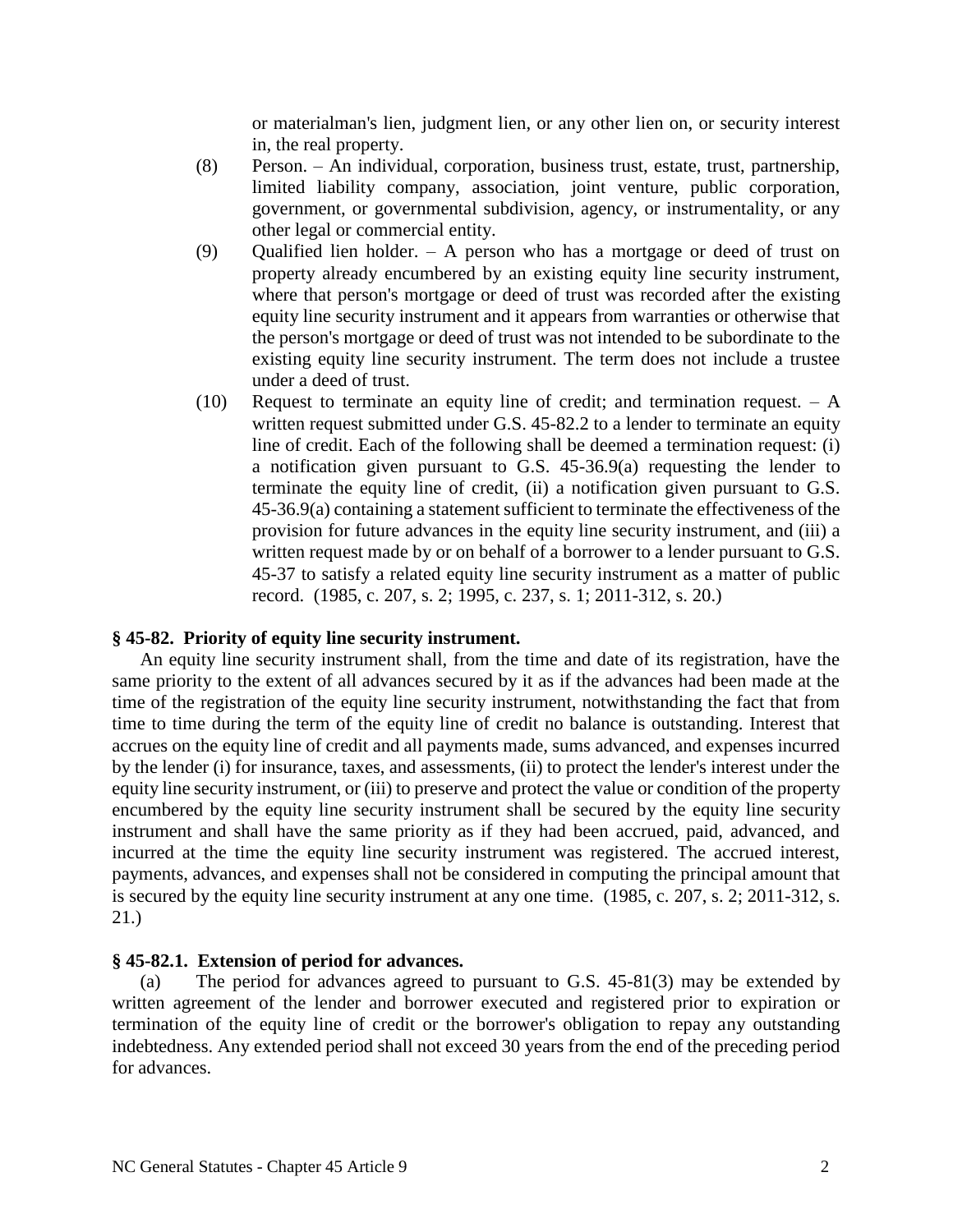or materialman's lien, judgment lien, or any other lien on, or security interest in, the real property.

- (8) Person. An individual, corporation, business trust, estate, trust, partnership, limited liability company, association, joint venture, public corporation, government, or governmental subdivision, agency, or instrumentality, or any other legal or commercial entity.
- (9) Qualified lien holder. A person who has a mortgage or deed of trust on property already encumbered by an existing equity line security instrument, where that person's mortgage or deed of trust was recorded after the existing equity line security instrument and it appears from warranties or otherwise that the person's mortgage or deed of trust was not intended to be subordinate to the existing equity line security instrument. The term does not include a trustee under a deed of trust.
- (10) Request to terminate an equity line of credit; and termination request.  $A$ written request submitted under G.S. 45-82.2 to a lender to terminate an equity line of credit. Each of the following shall be deemed a termination request: (i) a notification given pursuant to G.S. 45-36.9(a) requesting the lender to terminate the equity line of credit, (ii) a notification given pursuant to G.S. 45-36.9(a) containing a statement sufficient to terminate the effectiveness of the provision for future advances in the equity line security instrument, and (iii) a written request made by or on behalf of a borrower to a lender pursuant to G.S. 45-37 to satisfy a related equity line security instrument as a matter of public record. (1985, c. 207, s. 2; 1995, c. 237, s. 1; 2011-312, s. 20.)

#### **§ 45-82. Priority of equity line security instrument.**

An equity line security instrument shall, from the time and date of its registration, have the same priority to the extent of all advances secured by it as if the advances had been made at the time of the registration of the equity line security instrument, notwithstanding the fact that from time to time during the term of the equity line of credit no balance is outstanding. Interest that accrues on the equity line of credit and all payments made, sums advanced, and expenses incurred by the lender (i) for insurance, taxes, and assessments, (ii) to protect the lender's interest under the equity line security instrument, or (iii) to preserve and protect the value or condition of the property encumbered by the equity line security instrument shall be secured by the equity line security instrument and shall have the same priority as if they had been accrued, paid, advanced, and incurred at the time the equity line security instrument was registered. The accrued interest, payments, advances, and expenses shall not be considered in computing the principal amount that is secured by the equity line security instrument at any one time. (1985, c. 207, s. 2; 2011-312, s. 21.)

#### **§ 45-82.1. Extension of period for advances.**

(a) The period for advances agreed to pursuant to G.S. 45-81(3) may be extended by written agreement of the lender and borrower executed and registered prior to expiration or termination of the equity line of credit or the borrower's obligation to repay any outstanding indebtedness. Any extended period shall not exceed 30 years from the end of the preceding period for advances.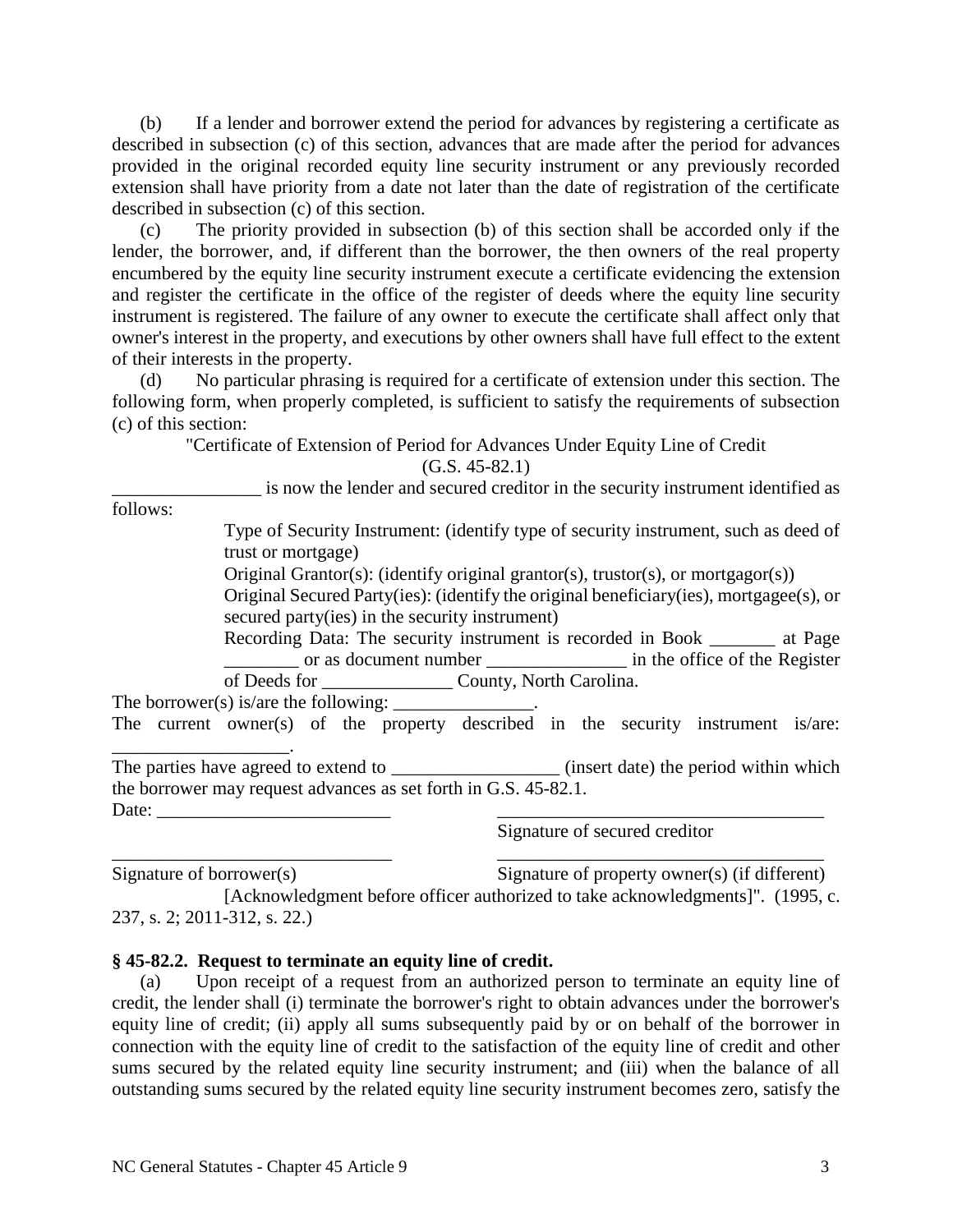(b) If a lender and borrower extend the period for advances by registering a certificate as described in subsection (c) of this section, advances that are made after the period for advances provided in the original recorded equity line security instrument or any previously recorded extension shall have priority from a date not later than the date of registration of the certificate described in subsection (c) of this section.

(c) The priority provided in subsection (b) of this section shall be accorded only if the lender, the borrower, and, if different than the borrower, the then owners of the real property encumbered by the equity line security instrument execute a certificate evidencing the extension and register the certificate in the office of the register of deeds where the equity line security instrument is registered. The failure of any owner to execute the certificate shall affect only that owner's interest in the property, and executions by other owners shall have full effect to the extent of their interests in the property.

(d) No particular phrasing is required for a certificate of extension under this section. The following form, when properly completed, is sufficient to satisfy the requirements of subsection (c) of this section:

> "Certificate of Extension of Period for Advances Under Equity Line of Credit (G.S. 45-82.1)

\_\_\_\_\_\_\_\_\_\_\_\_\_\_\_\_ is now the lender and secured creditor in the security instrument identified as

follows:

Type of Security Instrument: (identify type of security instrument, such as deed of trust or mortgage)

Original Grantor(s): (identify original grantor(s), trustor(s), or mortgagor(s))

Original Secured Party(ies): (identify the original beneficiary(ies), mortgagee(s), or secured party(ies) in the security instrument)

Recording Data: The security instrument is recorded in Book \_\_\_\_\_\_\_ at Page \_\_\_\_\_\_\_\_ or as document number \_\_\_\_\_\_\_\_\_\_\_\_\_\_\_ in the office of the Register of Deeds for \_\_\_\_\_\_\_\_\_\_\_\_\_\_ County, North Carolina.

The borrower(s) is/are the following:

The current owner(s) of the property described in the security instrument is/are: \_\_\_\_\_\_\_\_\_\_\_\_\_\_\_\_\_\_\_.

The parties have agreed to extend to \_\_\_\_\_\_\_\_\_\_\_\_\_\_\_\_\_\_\_\_\_(insert date) the period within which the borrower may request advances as set forth in G.S. 45-82.1. Date: \_\_\_\_\_\_\_\_\_\_\_\_\_\_\_\_\_\_\_\_\_\_\_\_\_ \_\_\_\_\_\_\_\_\_\_\_\_\_\_\_\_\_\_\_\_\_\_\_\_\_\_\_\_\_\_\_\_\_\_\_

Signature of secured creditor

 $\overline{\phantom{a}}$  , and the contract of the contract of the contract of the contract of the contract of the contract of the contract of the contract of the contract of the contract of the contract of the contract of the contrac Signature of borrower(s) Signature of property owner(s) (if different)

[Acknowledgment before officer authorized to take acknowledgments]". (1995, c. 237, s. 2; 2011-312, s. 22.)

## **§ 45-82.2. Request to terminate an equity line of credit.**

(a) Upon receipt of a request from an authorized person to terminate an equity line of credit, the lender shall (i) terminate the borrower's right to obtain advances under the borrower's equity line of credit; (ii) apply all sums subsequently paid by or on behalf of the borrower in connection with the equity line of credit to the satisfaction of the equity line of credit and other sums secured by the related equity line security instrument; and (iii) when the balance of all outstanding sums secured by the related equity line security instrument becomes zero, satisfy the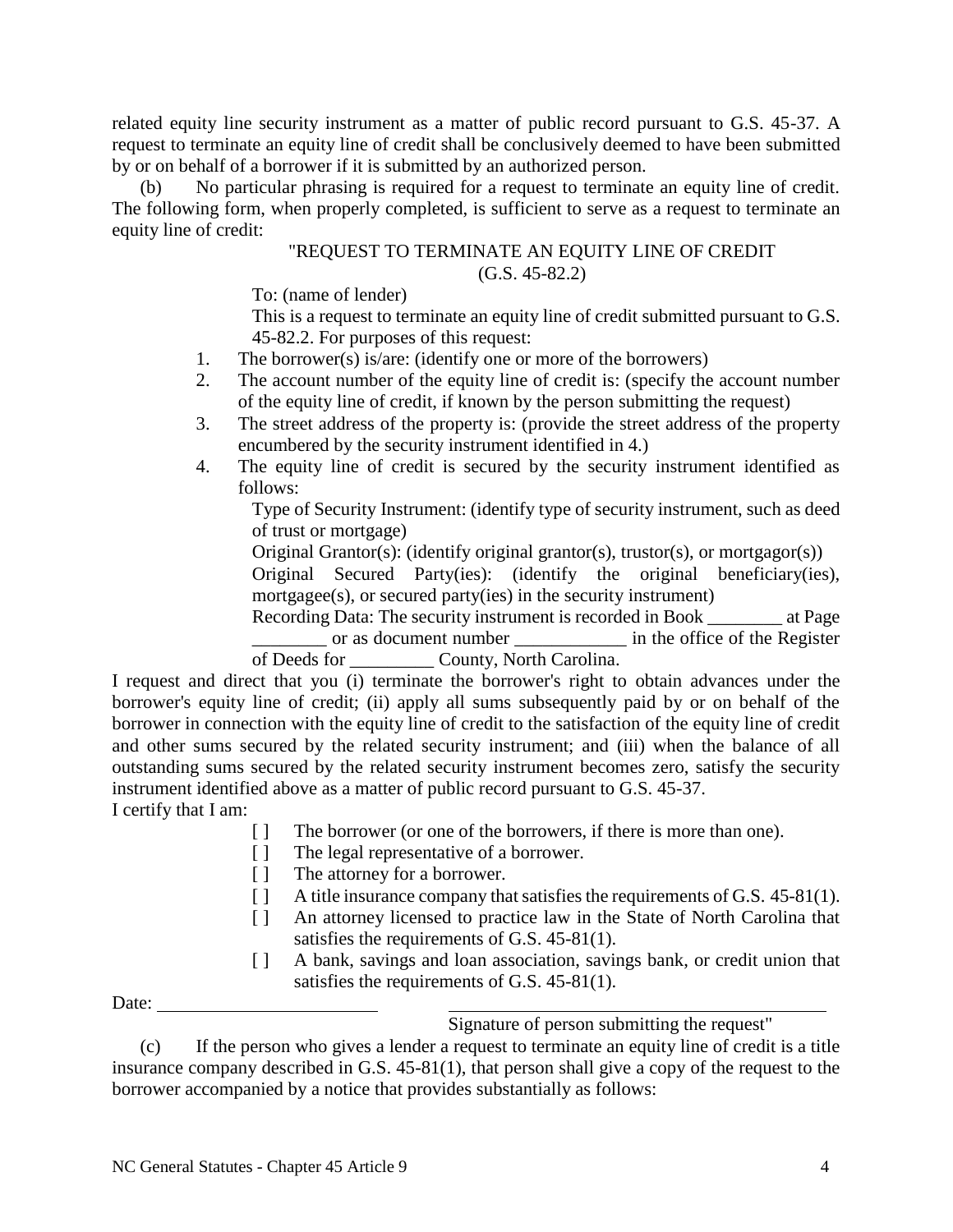related equity line security instrument as a matter of public record pursuant to G.S. 45-37. A request to terminate an equity line of credit shall be conclusively deemed to have been submitted by or on behalf of a borrower if it is submitted by an authorized person.

No particular phrasing is required for a request to terminate an equity line of credit. The following form, when properly completed, is sufficient to serve as a request to terminate an equity line of credit:

# "REQUEST TO TERMINATE AN EQUITY LINE OF CREDIT (G.S. 45-82.2)

To: (name of lender)

This is a request to terminate an equity line of credit submitted pursuant to G.S. 45-82.2. For purposes of this request:

- 1. The borrower(s) is/are: (identify one or more of the borrowers)
- 2. The account number of the equity line of credit is: (specify the account number of the equity line of credit, if known by the person submitting the request)
- 3. The street address of the property is: (provide the street address of the property encumbered by the security instrument identified in 4.)
- 4. The equity line of credit is secured by the security instrument identified as follows:

Type of Security Instrument: (identify type of security instrument, such as deed of trust or mortgage)

Original Grantor(s): (identify original grantor(s), trustor(s), or mortgagor(s))

Original Secured Party(ies): (identify the original beneficiary(ies), mortgagee(s), or secured party(ies) in the security instrument)

Recording Data: The security instrument is recorded in Book at Page \_\_\_\_\_\_\_\_ or as document number \_\_\_\_\_\_\_\_\_\_\_\_ in the office of the Register of Deeds for \_\_\_\_\_\_\_\_\_ County, North Carolina.

I request and direct that you (i) terminate the borrower's right to obtain advances under the borrower's equity line of credit; (ii) apply all sums subsequently paid by or on behalf of the borrower in connection with the equity line of credit to the satisfaction of the equity line of credit and other sums secured by the related security instrument; and (iii) when the balance of all outstanding sums secured by the related security instrument becomes zero, satisfy the security instrument identified above as a matter of public record pursuant to G.S. 45-37. I certify that I am:

- [ ] The borrower (or one of the borrowers, if there is more than one).
- [ ] The legal representative of a borrower.
- [ ] The attorney for a borrower.
- [ ] A title insurance company that satisfies the requirements of G.S. 45-81(1).
- [ ] An attorney licensed to practice law in the State of North Carolina that satisfies the requirements of G.S. 45-81(1).
- [ ] A bank, savings and loan association, savings bank, or credit union that satisfies the requirements of G.S. 45-81(1).

Date:

Signature of person submitting the request"

(c) If the person who gives a lender a request to terminate an equity line of credit is a title insurance company described in G.S. 45-81(1), that person shall give a copy of the request to the borrower accompanied by a notice that provides substantially as follows: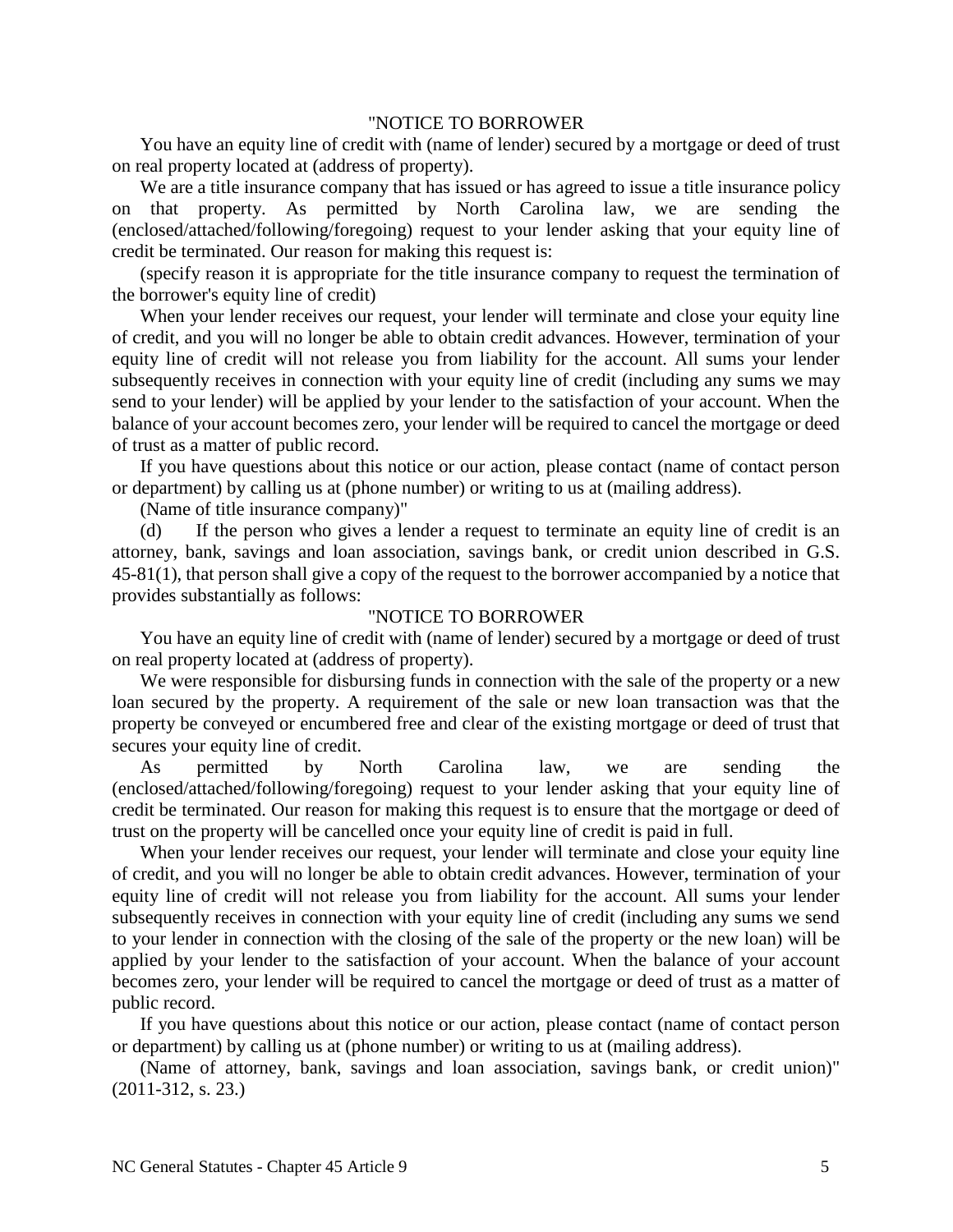### "NOTICE TO BORROWER

You have an equity line of credit with (name of lender) secured by a mortgage or deed of trust on real property located at (address of property).

We are a title insurance company that has issued or has agreed to issue a title insurance policy on that property. As permitted by North Carolina law, we are sending the (enclosed/attached/following/foregoing) request to your lender asking that your equity line of credit be terminated. Our reason for making this request is:

(specify reason it is appropriate for the title insurance company to request the termination of the borrower's equity line of credit)

When your lender receives our request, your lender will terminate and close your equity line of credit, and you will no longer be able to obtain credit advances. However, termination of your equity line of credit will not release you from liability for the account. All sums your lender subsequently receives in connection with your equity line of credit (including any sums we may send to your lender) will be applied by your lender to the satisfaction of your account. When the balance of your account becomes zero, your lender will be required to cancel the mortgage or deed of trust as a matter of public record.

If you have questions about this notice or our action, please contact (name of contact person or department) by calling us at (phone number) or writing to us at (mailing address).

(Name of title insurance company)"

(d) If the person who gives a lender a request to terminate an equity line of credit is an attorney, bank, savings and loan association, savings bank, or credit union described in G.S. 45-81(1), that person shall give a copy of the request to the borrower accompanied by a notice that provides substantially as follows:

#### "NOTICE TO BORROWER

You have an equity line of credit with (name of lender) secured by a mortgage or deed of trust on real property located at (address of property).

We were responsible for disbursing funds in connection with the sale of the property or a new loan secured by the property. A requirement of the sale or new loan transaction was that the property be conveyed or encumbered free and clear of the existing mortgage or deed of trust that secures your equity line of credit.

As permitted by North Carolina law, we are sending the (enclosed/attached/following/foregoing) request to your lender asking that your equity line of credit be terminated. Our reason for making this request is to ensure that the mortgage or deed of trust on the property will be cancelled once your equity line of credit is paid in full.

When your lender receives our request, your lender will terminate and close your equity line of credit, and you will no longer be able to obtain credit advances. However, termination of your equity line of credit will not release you from liability for the account. All sums your lender subsequently receives in connection with your equity line of credit (including any sums we send to your lender in connection with the closing of the sale of the property or the new loan) will be applied by your lender to the satisfaction of your account. When the balance of your account becomes zero, your lender will be required to cancel the mortgage or deed of trust as a matter of public record.

If you have questions about this notice or our action, please contact (name of contact person or department) by calling us at (phone number) or writing to us at (mailing address).

(Name of attorney, bank, savings and loan association, savings bank, or credit union)" (2011-312, s. 23.)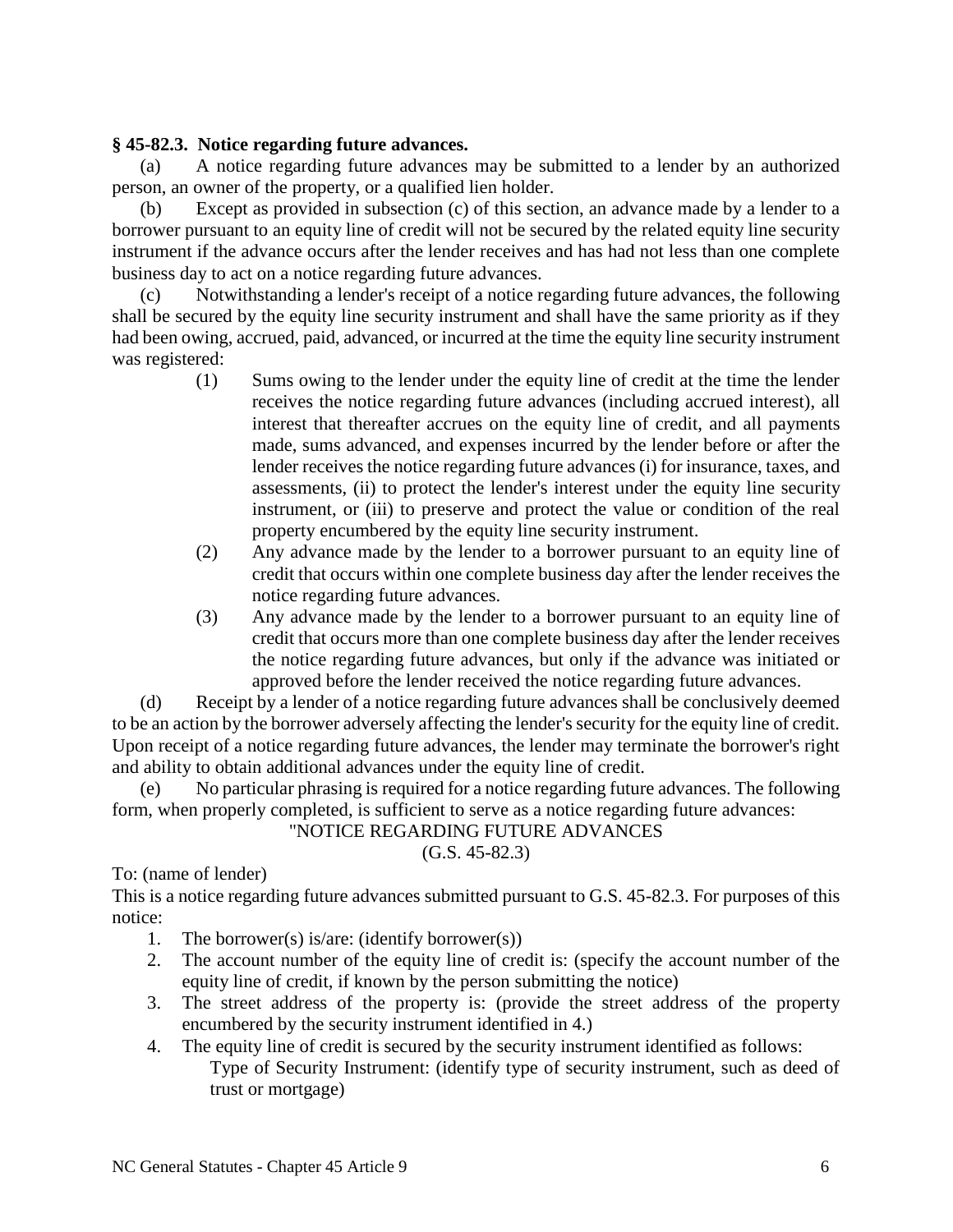# **§ 45-82.3. Notice regarding future advances.**

(a) A notice regarding future advances may be submitted to a lender by an authorized person, an owner of the property, or a qualified lien holder.

(b) Except as provided in subsection (c) of this section, an advance made by a lender to a borrower pursuant to an equity line of credit will not be secured by the related equity line security instrument if the advance occurs after the lender receives and has had not less than one complete business day to act on a notice regarding future advances.

(c) Notwithstanding a lender's receipt of a notice regarding future advances, the following shall be secured by the equity line security instrument and shall have the same priority as if they had been owing, accrued, paid, advanced, or incurred at the time the equity line security instrument was registered:

- (1) Sums owing to the lender under the equity line of credit at the time the lender receives the notice regarding future advances (including accrued interest), all interest that thereafter accrues on the equity line of credit, and all payments made, sums advanced, and expenses incurred by the lender before or after the lender receives the notice regarding future advances (i) for insurance, taxes, and assessments, (ii) to protect the lender's interest under the equity line security instrument, or (iii) to preserve and protect the value or condition of the real property encumbered by the equity line security instrument.
- (2) Any advance made by the lender to a borrower pursuant to an equity line of credit that occurs within one complete business day after the lender receives the notice regarding future advances.
- (3) Any advance made by the lender to a borrower pursuant to an equity line of credit that occurs more than one complete business day after the lender receives the notice regarding future advances, but only if the advance was initiated or approved before the lender received the notice regarding future advances.

(d) Receipt by a lender of a notice regarding future advances shall be conclusively deemed to be an action by the borrower adversely affecting the lender's security for the equity line of credit. Upon receipt of a notice regarding future advances, the lender may terminate the borrower's right and ability to obtain additional advances under the equity line of credit.

(e) No particular phrasing is required for a notice regarding future advances. The following form, when properly completed, is sufficient to serve as a notice regarding future advances:

## "NOTICE REGARDING FUTURE ADVANCES

(G.S. 45-82.3)

To: (name of lender)

This is a notice regarding future advances submitted pursuant to G.S. 45-82.3. For purposes of this notice:

- 1. The borrower(s) is/are: (identify borrower(s))
- 2. The account number of the equity line of credit is: (specify the account number of the equity line of credit, if known by the person submitting the notice)
- 3. The street address of the property is: (provide the street address of the property encumbered by the security instrument identified in 4.)
- 4. The equity line of credit is secured by the security instrument identified as follows: Type of Security Instrument: (identify type of security instrument, such as deed of trust or mortgage)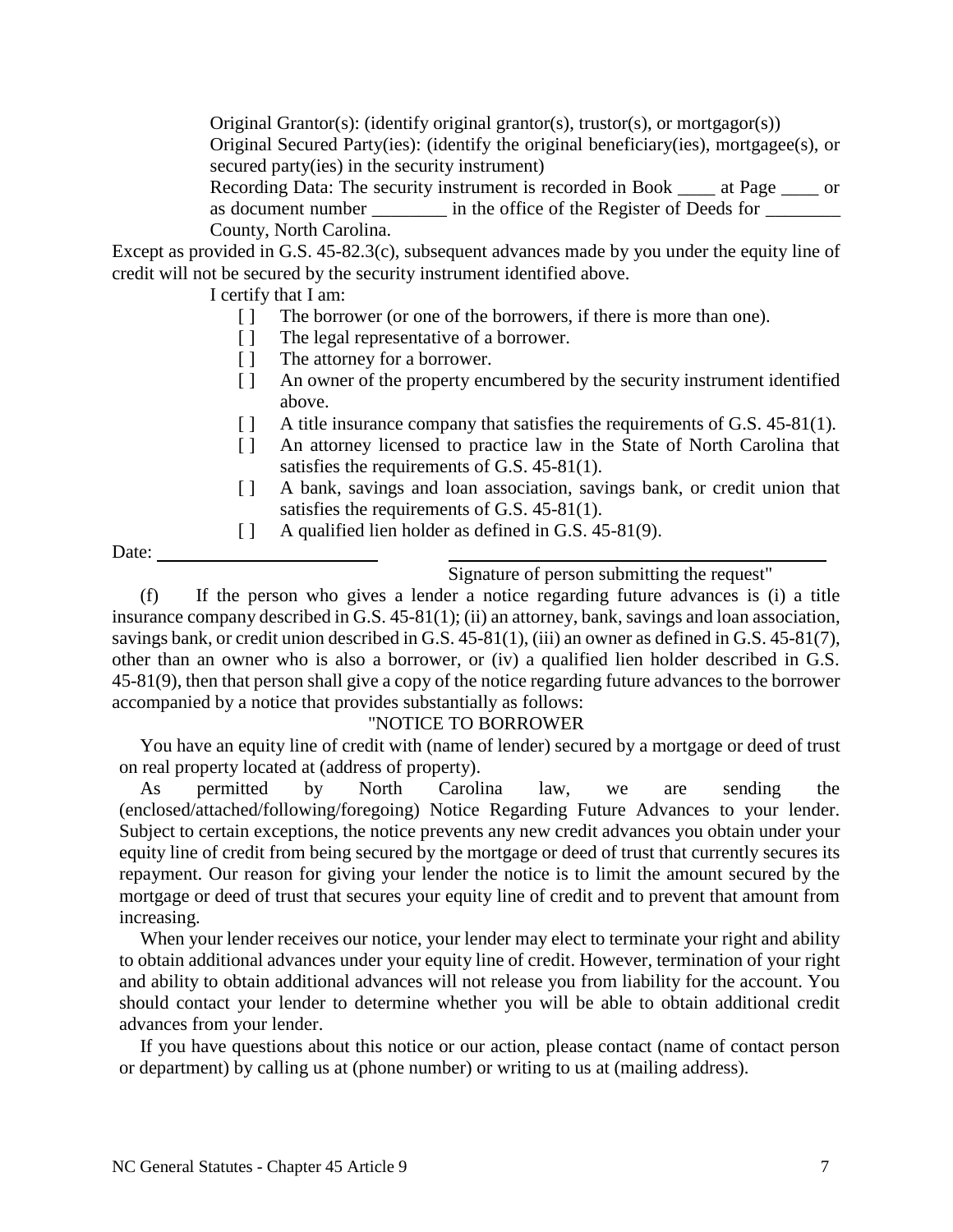Original Grantor(s): (identify original grantor(s), trustor(s), or mortgagor(s)) Original Secured Party(ies): (identify the original beneficiary(ies), mortgagee(s), or

secured party(ies) in the security instrument)

Recording Data: The security instrument is recorded in Book \_\_\_\_ at Page \_\_\_\_ or as document number \_\_\_\_\_\_\_\_\_ in the office of the Register of Deeds for \_\_\_\_\_\_\_\_ County, North Carolina.

Except as provided in G.S. 45-82.3(c), subsequent advances made by you under the equity line of credit will not be secured by the security instrument identified above.

I certify that I am:

- [ ] The borrower (or one of the borrowers, if there is more than one).
- [ ] The legal representative of a borrower.
- [ ] The attorney for a borrower.
- [ ] An owner of the property encumbered by the security instrument identified above.
- [ ] A title insurance company that satisfies the requirements of G.S. 45-81(1).
- [ ] An attorney licensed to practice law in the State of North Carolina that satisfies the requirements of G.S. 45-81(1).
- [ ] A bank, savings and loan association, savings bank, or credit union that satisfies the requirements of G.S. 45-81(1).
- [ ] A qualified lien holder as defined in G.S. 45-81(9).

Date:

Signature of person submitting the request"

(f) If the person who gives a lender a notice regarding future advances is (i) a title insurance company described in G.S. 45-81(1); (ii) an attorney, bank, savings and loan association, savings bank, or credit union described in G.S. 45-81(1), (iii) an owner as defined in G.S. 45-81(7), other than an owner who is also a borrower, or (iv) a qualified lien holder described in G.S. 45-81(9), then that person shall give a copy of the notice regarding future advances to the borrower accompanied by a notice that provides substantially as follows:

## "NOTICE TO BORROWER

You have an equity line of credit with (name of lender) secured by a mortgage or deed of trust on real property located at (address of property).

As permitted by North Carolina law, we are sending the (enclosed/attached/following/foregoing) Notice Regarding Future Advances to your lender. Subject to certain exceptions, the notice prevents any new credit advances you obtain under your equity line of credit from being secured by the mortgage or deed of trust that currently secures its repayment. Our reason for giving your lender the notice is to limit the amount secured by the mortgage or deed of trust that secures your equity line of credit and to prevent that amount from increasing.

When your lender receives our notice, your lender may elect to terminate your right and ability to obtain additional advances under your equity line of credit. However, termination of your right and ability to obtain additional advances will not release you from liability for the account. You should contact your lender to determine whether you will be able to obtain additional credit advances from your lender.

If you have questions about this notice or our action, please contact (name of contact person or department) by calling us at (phone number) or writing to us at (mailing address).